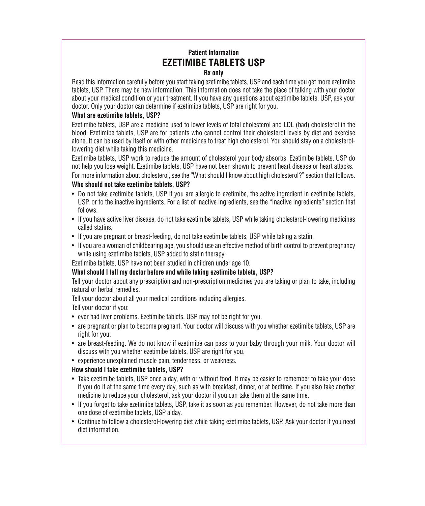# **Patient Information EZETIMIBE TABLETS USP Rx only**

Read this information carefully before you start taking ezetimibe tablets, USP and each time you get more ezetimibe tablets, USP. There may be new information. This information does not take the place of talking with your doctor about your medical condition or your treatment. If you have any questions about ezetimibe tablets, USP, ask your doctor. Only your doctor can determine if ezetimibe tablets, USP are right for you.

### **What are ezetimibe tablets, USP?**

Ezetimibe tablets, USP are a medicine used to lower levels of total cholesterol and LDL (bad) cholesterol in the blood. Ezetimibe tablets, USP are for patients who cannot control their cholesterol levels by diet and exercise alone. It can be used by itself or with other medicines to treat high cholesterol. You should stay on a cholesterollowering diet while taking this medicine.

Ezetimibe tablets, USP work to reduce the amount of cholesterol your body absorbs. Ezetimibe tablets, USP do not help you lose weight. Ezetimibe tablets, USP have not been shown to prevent heart disease or heart attacks. For more information about cholesterol, see the "What should I know about high cholesterol?" section that follows.

### **Who should not take ezetimibe tablets, USP?**

- Do not take ezetimibe tablets, USP if you are allergic to ezetimibe, the active ingredient in ezetimibe tablets, USP, or to the inactive ingredients. For a list of inactive ingredients, see the "Inactive ingredients" section that follows.
- If you have active liver disease, do not take ezetimibe tablets, USP while taking cholesterol-lowering medicines called statins.
- If you are pregnant or breast-feeding, do not take ezetimibe tablets, USP while taking a statin.
- If you are a woman of childbearing age, you should use an effective method of birth control to prevent pregnancy while using ezetimibe tablets, USP added to statin therapy.

Ezetimibe tablets, USP have not been studied in children under age 10.

# **What should I tell my doctor before and while taking ezetimibe tablets, USP?**

Tell your doctor about any prescription and non-prescription medicines you are taking or plan to take, including natural or herbal remedies.

Tell your doctor about all your medical conditions including allergies.

Tell your doctor if you:

- ever had liver problems. Ezetimibe tablets, USP may not be right for you.
- are pregnant or plan to become pregnant. Your doctor will discuss with you whether ezetimibe tablets, USP are right for you.
- are breast-feeding. We do not know if ezetimibe can pass to your baby through your milk. Your doctor will discuss with you whether ezetimibe tablets, USP are right for you.
- experience unexplained muscle pain, tenderness, or weakness.

#### **How should I take ezetimibe tablets, USP?**

- Take ezetimibe tablets, USP once a day, with or without food. It may be easier to remember to take your dose if you do it at the same time every day, such as with breakfast, dinner, or at bedtime. If you also take another medicine to reduce your cholesterol, ask your doctor if you can take them at the same time.
- If you forget to take ezetimibe tablets, USP, take it as soon as you remember. However, do not take more than one dose of ezetimibe tablets, USP a day.
- Continue to follow a cholesterol-lowering diet while taking ezetimibe tablets, USP. Ask your doctor if you need diet information.